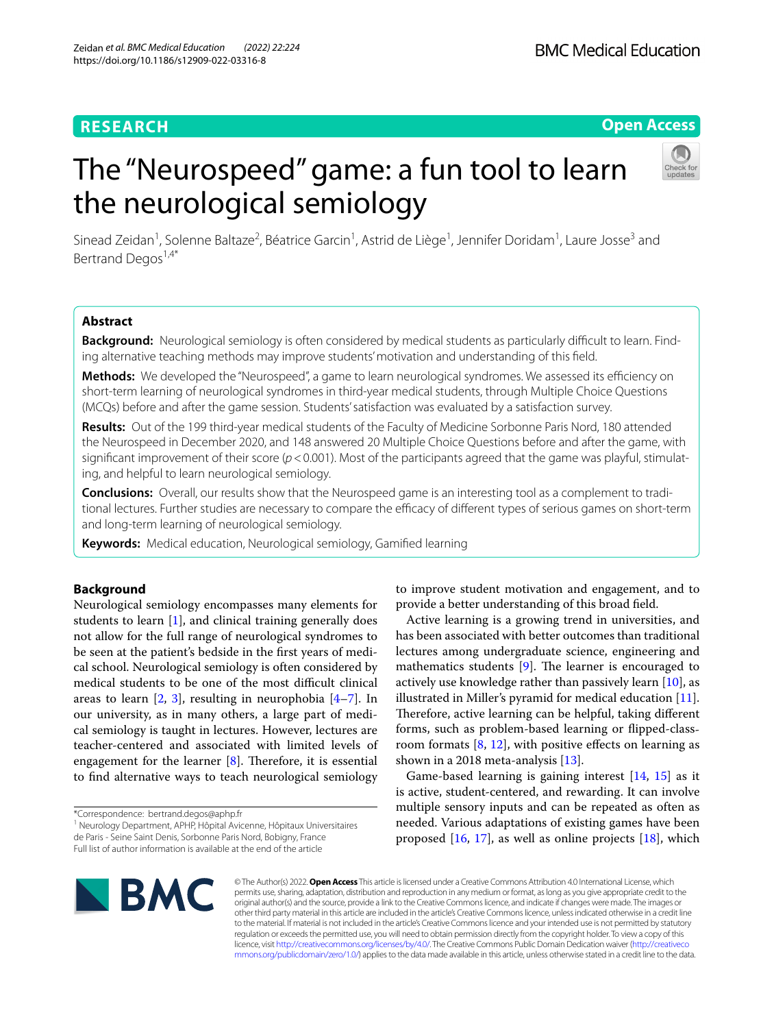# **Open Access**

# The "Neurospeed" game: a fun tool to learn the neurological semiology



Sinead Zeidan<sup>1</sup>, Solenne Baltaze<sup>2</sup>, Béatrice Garcin<sup>1</sup>, Astrid de Liège<sup>1</sup>, Jennifer Doridam<sup>1</sup>, Laure Josse<sup>3</sup> and Bertrand Degos<sup>1,4\*</sup>

# **Abstract**

**Background:** Neurological semiology is often considered by medical students as particularly difficult to learn. Finding alternative teaching methods may improve students' motivation and understanding of this feld.

**Methods:** We developed the "Neurospeed", a game to learn neurological syndromes. We assessed its efficiency on short-term learning of neurological syndromes in third-year medical students, through Multiple Choice Questions (MCQs) before and after the game session. Students' satisfaction was evaluated by a satisfaction survey.

**Results:** Out of the 199 third-year medical students of the Faculty of Medicine Sorbonne Paris Nord, 180 attended the Neurospeed in December 2020, and 148 answered 20 Multiple Choice Questions before and after the game, with significant improvement of their score ( $p < 0.001$ ). Most of the participants agreed that the game was playful, stimulating, and helpful to learn neurological semiology.

**Conclusions:** Overall, our results show that the Neurospeed game is an interesting tool as a complement to traditional lectures. Further studies are necessary to compare the efficacy of different types of serious games on short-term and long-term learning of neurological semiology.

**Keywords:** Medical education, Neurological semiology, Gamifed learning

# **Background**

Neurological semiology encompasses many elements for students to learn [[1\]](#page-6-0), and clinical training generally does not allow for the full range of neurological syndromes to be seen at the patient's bedside in the frst years of medical school. Neurological semiology is often considered by medical students to be one of the most difficult clinical areas to learn [\[2](#page-6-1), [3](#page-6-2)], resulting in neurophobia [[4–](#page-6-3)[7\]](#page-7-0). In our university, as in many others, a large part of medical semiology is taught in lectures. However, lectures are teacher-centered and associated with limited levels of engagement for the learner  $[8]$  $[8]$ . Therefore, it is essential to fnd alternative ways to teach neurological semiology

\*Correspondence: bertrand.degos@aphp.fr

<sup>1</sup> Neurology Department, APHP, Hôpital Avicenne, Hôpitaux Universitaires de Paris - Seine Saint Denis, Sorbonne Paris Nord, Bobigny, France Full list of author information is available at the end of the article

to improve student motivation and engagement, and to provide a better understanding of this broad feld.

Active learning is a growing trend in universities, and has been associated with better outcomes than traditional lectures among undergraduate science, engineering and mathematics students  $[9]$  $[9]$  $[9]$ . The learner is encouraged to actively use knowledge rather than passively learn [[10\]](#page-7-3), as illustrated in Miller's pyramid for medical education [\[11](#page-7-4)]. Therefore, active learning can be helpful, taking different forms, such as problem-based learning or fipped-classroom formats  $[8, 12]$  $[8, 12]$  $[8, 12]$  $[8, 12]$ , with positive effects on learning as shown in a 2018 meta-analysis  $[13]$  $[13]$ .

Game-based learning is gaining interest [[14,](#page-7-7) [15](#page-7-8)] as it is active, student-centered, and rewarding. It can involve multiple sensory inputs and can be repeated as often as needed. Various adaptations of existing games have been proposed [[16,](#page-7-9) [17\]](#page-7-10), as well as online projects [\[18](#page-7-11)], which



© The Author(s) 2022. **Open Access** This article is licensed under a Creative Commons Attribution 4.0 International License, which permits use, sharing, adaptation, distribution and reproduction in any medium or format, as long as you give appropriate credit to the original author(s) and the source, provide a link to the Creative Commons licence, and indicate if changes were made. The images or other third party material in this article are included in the article's Creative Commons licence, unless indicated otherwise in a credit line to the material. If material is not included in the article's Creative Commons licence and your intended use is not permitted by statutory regulation or exceeds the permitted use, you will need to obtain permission directly from the copyright holder. To view a copy of this licence, visit [http://creativecommons.org/licenses/by/4.0/.](http://creativecommons.org/licenses/by/4.0/) The Creative Commons Public Domain Dedication waiver ([http://creativeco](http://creativecommons.org/publicdomain/zero/1.0/) [mmons.org/publicdomain/zero/1.0/](http://creativecommons.org/publicdomain/zero/1.0/)) applies to the data made available in this article, unless otherwise stated in a credit line to the data.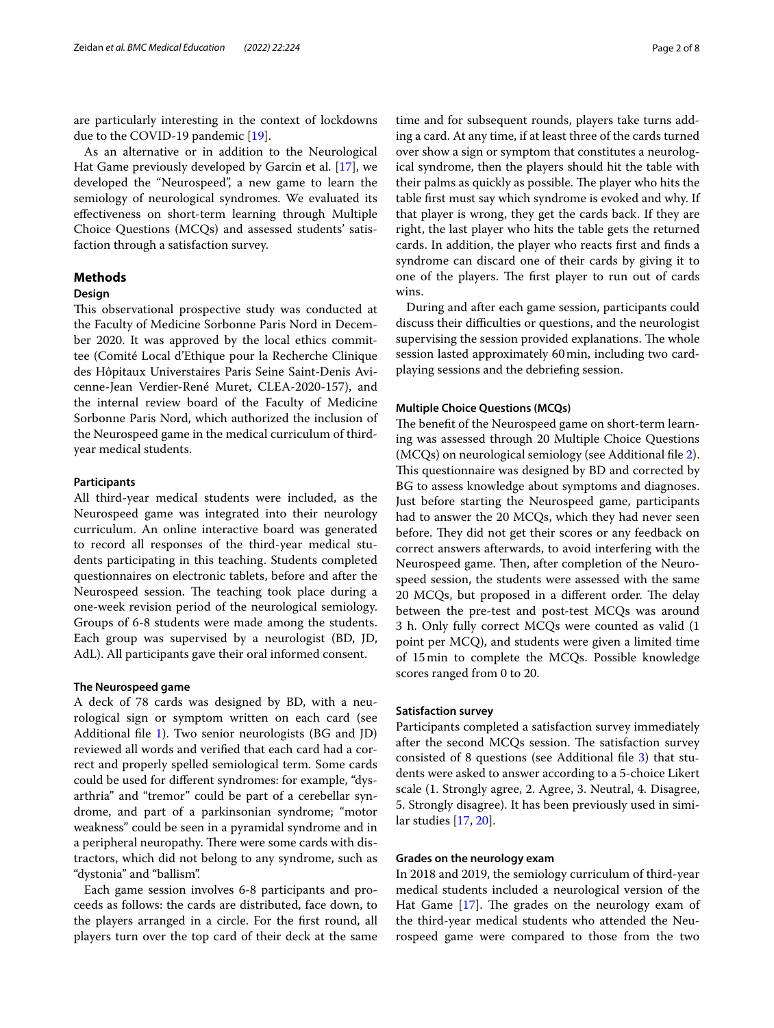are particularly interesting in the context of lockdowns due to the COVID-19 pandemic [\[19](#page-7-12)].

As an alternative or in addition to the Neurological Hat Game previously developed by Garcin et al. [\[17\]](#page-7-10), we developed the "Neurospeed", a new game to learn the semiology of neurological syndromes. We evaluated its efectiveness on short-term learning through Multiple Choice Questions (MCQs) and assessed students' satisfaction through a satisfaction survey.

# **Methods**

## **Design**

This observational prospective study was conducted at the Faculty of Medicine Sorbonne Paris Nord in December 2020. It was approved by the local ethics committee (Comité Local d'Ethique pour la Recherche Clinique des Hôpitaux Universtaires Paris Seine Saint-Denis Avicenne-Jean Verdier-René Muret, CLEA-2020-157), and the internal review board of the Faculty of Medicine Sorbonne Paris Nord, which authorized the inclusion of the Neurospeed game in the medical curriculum of thirdyear medical students.

#### **Participants**

All third-year medical students were included, as the Neurospeed game was integrated into their neurology curriculum. An online interactive board was generated to record all responses of the third-year medical students participating in this teaching. Students completed questionnaires on electronic tablets, before and after the Neurospeed session. The teaching took place during a one-week revision period of the neurological semiology. Groups of 6-8 students were made among the students. Each group was supervised by a neurologist (BD, JD, AdL). All participants gave their oral informed consent.

## **The Neurospeed game**

A deck of 78 cards was designed by BD, with a neurological sign or symptom written on each card (see Additional file [1\)](#page-6-4). Two senior neurologists (BG and JD) reviewed all words and verifed that each card had a correct and properly spelled semiological term. Some cards could be used for diferent syndromes: for example, "dysarthria" and "tremor" could be part of a cerebellar syndrome, and part of a parkinsonian syndrome; "motor weakness" could be seen in a pyramidal syndrome and in a peripheral neuropathy. There were some cards with distractors, which did not belong to any syndrome, such as "dystonia" and "ballism".

Each game session involves 6-8 participants and proceeds as follows: the cards are distributed, face down, to the players arranged in a circle. For the frst round, all players turn over the top card of their deck at the same time and for subsequent rounds, players take turns adding a card. At any time, if at least three of the cards turned over show a sign or symptom that constitutes a neurological syndrome, then the players should hit the table with their palms as quickly as possible. The player who hits the table frst must say which syndrome is evoked and why. If that player is wrong, they get the cards back. If they are right, the last player who hits the table gets the returned cards. In addition, the player who reacts frst and fnds a syndrome can discard one of their cards by giving it to one of the players. The first player to run out of cards wins.

During and after each game session, participants could discuss their difficulties or questions, and the neurologist supervising the session provided explanations. The whole session lasted approximately 60min, including two cardplaying sessions and the debriefng session.

## **Multiple Choice Questions (MCQs)**

The benefit of the Neurospeed game on short-term learning was assessed through 20 Multiple Choice Questions (MCQs) on neurological semiology (see Additional fle [2](#page-6-5)). This questionnaire was designed by BD and corrected by BG to assess knowledge about symptoms and diagnoses. Just before starting the Neurospeed game, participants had to answer the 20 MCQs, which they had never seen before. They did not get their scores or any feedback on correct answers afterwards, to avoid interfering with the Neurospeed game. Then, after completion of the Neurospeed session, the students were assessed with the same 20 MCQs, but proposed in a different order. The delay between the pre-test and post-test MCQs was around 3 h. Only fully correct MCQs were counted as valid (1 point per MCQ), and students were given a limited time of 15min to complete the MCQs. Possible knowledge scores ranged from 0 to 20.

#### **Satisfaction survey**

Participants completed a satisfaction survey immediately after the second MCQs session. The satisfaction survey consisted of 8 questions (see Additional fle [3](#page-6-6)) that students were asked to answer according to a 5-choice Likert scale (1. Strongly agree, 2. Agree, 3. Neutral, 4. Disagree, 5. Strongly disagree). It has been previously used in similar studies [[17,](#page-7-10) [20](#page-7-13)].

# **Grades on the neurology exam**

In 2018 and 2019, the semiology curriculum of third-year medical students included a neurological version of the Hat Game  $[17]$  $[17]$ . The grades on the neurology exam of the third-year medical students who attended the Neurospeed game were compared to those from the two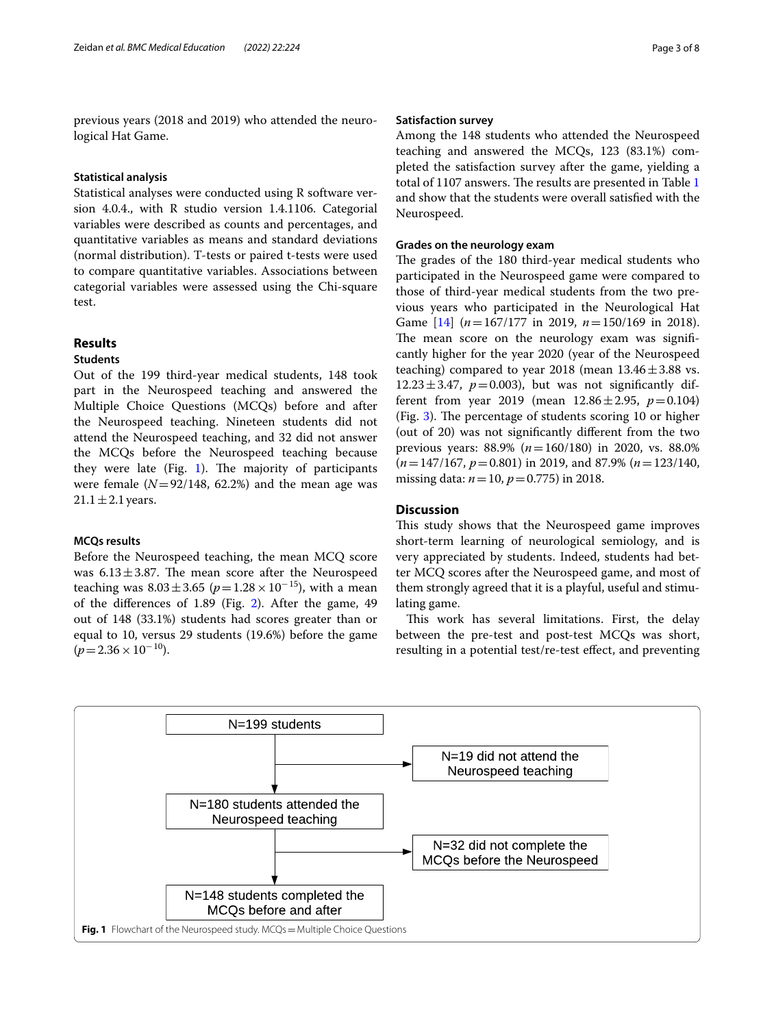previous years (2018 and 2019) who attended the neurological Hat Game.

# **Statistical analysis**

Statistical analyses were conducted using R software version 4.0.4., with R studio version 1.4.1106. Categorial variables were described as counts and percentages, and quantitative variables as means and standard deviations (normal distribution). T-tests or paired t-tests were used to compare quantitative variables. Associations between categorial variables were assessed using the Chi-square test.

# **Results**

# **Students**

Out of the 199 third-year medical students, 148 took part in the Neurospeed teaching and answered the Multiple Choice Questions (MCQs) before and after the Neurospeed teaching. Nineteen students did not attend the Neurospeed teaching, and 32 did not answer the MCQs before the Neurospeed teaching because they were late (Fig. [1\)](#page-2-0). The majority of participants were female  $(N=92/148, 62.2%)$  and the mean age was  $21.1 \pm 2.1$  years.

# **MCQs results**

Before the Neurospeed teaching, the mean MCQ score was  $6.13 \pm 3.87$ . The mean score after the Neurospeed teaching was  $8.03 \pm 3.65$  ( $p=1.28 \times 10^{-15}$ ), with a mean of the diferences of 1.89 (Fig. [2](#page-3-0)). After the game, 49 out of 148 (33.1%) students had scores greater than or equal to 10, versus 29 students (19.6%) before the game  $(p=2.36\times10^{-10}).$ 

# **Satisfaction survey**

Among the 148 students who attended the Neurospeed teaching and answered the MCQs, 123 (83.1%) completed the satisfaction survey after the game, yielding a total of  $1107$  $1107$  answers. The results are presented in Table 1 and show that the students were overall satisfed with the Neurospeed.

# **Grades on the neurology exam**

The grades of the 180 third-year medical students who participated in the Neurospeed game were compared to those of third-year medical students from the two previous years who participated in the Neurological Hat Game [[14](#page-7-7)] (*n*=167/177 in 2019, *n*=150/169 in 2018). The mean score on the neurology exam was significantly higher for the year 2020 (year of the Neurospeed teaching) compared to year 2018 (mean  $13.46 \pm 3.88$  vs.  $12.23 \pm 3.47$ ,  $p = 0.003$ ), but was not significantly different from year 2019 (mean  $12.86 \pm 2.95$ ,  $p = 0.104$ ) (Fig.  $3$ ). The percentage of students scoring 10 or higher (out of 20) was not signifcantly diferent from the two previous years: 88.9% (*n*=160/180) in 2020, vs. 88.0% (*n*=147/167, *p*=0.801) in 2019, and 87.9% (*n*=123/140, missing data: *n*=10, *p*=0.775) in 2018.

# **Discussion**

This study shows that the Neurospeed game improves short-term learning of neurological semiology, and is very appreciated by students. Indeed, students had better MCQ scores after the Neurospeed game, and most of them strongly agreed that it is a playful, useful and stimulating game.

This work has several limitations. First, the delay between the pre-test and post-test MCQs was short, resulting in a potential test/re-test efect, and preventing

<span id="page-2-0"></span>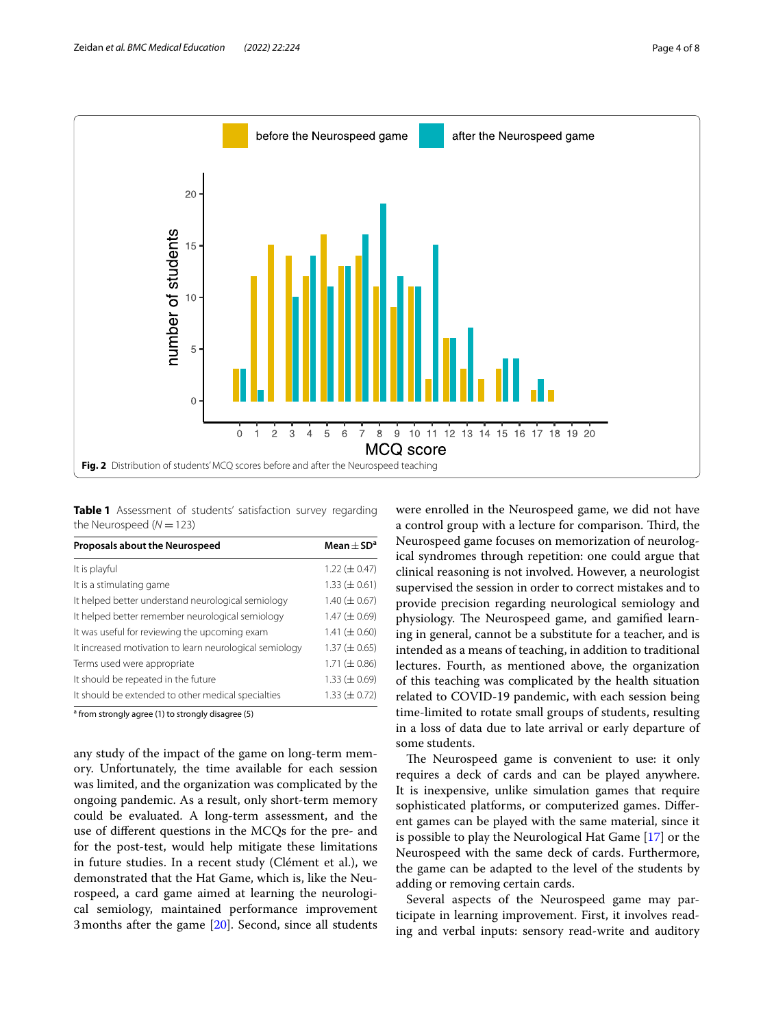

<span id="page-3-1"></span><span id="page-3-0"></span>**Table 1** Assessment of students' satisfaction survey regarding the Neurospeed  $(N = 123)$ 

| Proposals about the Neurospeed                          | Mean $\pm$ SD <sup>a</sup> |
|---------------------------------------------------------|----------------------------|
| It is playful                                           | $1.22 \ (\pm 0.47)$        |
| It is a stimulating game                                | $1.33 \times 0.61$         |
| It helped better understand neurological semiology      | $1.40 \ (\pm 0.67)$        |
| It helped better remember neurological semiology        | $1.47 \times (0.69)$       |
| It was useful for reviewing the upcoming exam           | 1.41 $(\pm 0.60)$          |
| It increased motivation to learn neurological semiology | $1.37 \times 0.65$         |
| Terms used were appropriate                             | 1.71 $(\pm 0.86)$          |
| It should be repeated in the future                     | $1.33 \times 0.69$         |
| It should be extended to other medical specialties      | $1.33 \times 0.72$         |

<sup>a</sup> from strongly agree (1) to strongly disagree (5)

any study of the impact of the game on long-term memory. Unfortunately, the time available for each session was limited, and the organization was complicated by the ongoing pandemic. As a result, only short-term memory could be evaluated. A long-term assessment, and the use of diferent questions in the MCQs for the pre- and for the post-test, would help mitigate these limitations in future studies. In a recent study (Clément et al.), we demonstrated that the Hat Game, which is, like the Neurospeed, a card game aimed at learning the neurological semiology, maintained performance improvement 3months after the game [[20](#page-7-13)]. Second, since all students were enrolled in the Neurospeed game, we did not have a control group with a lecture for comparison. Third, the Neurospeed game focuses on memorization of neurological syndromes through repetition: one could argue that clinical reasoning is not involved. However, a neurologist supervised the session in order to correct mistakes and to provide precision regarding neurological semiology and physiology. The Neurospeed game, and gamified learning in general, cannot be a substitute for a teacher, and is intended as a means of teaching, in addition to traditional lectures. Fourth, as mentioned above, the organization of this teaching was complicated by the health situation related to COVID-19 pandemic, with each session being time-limited to rotate small groups of students, resulting in a loss of data due to late arrival or early departure of some students.

The Neurospeed game is convenient to use: it only requires a deck of cards and can be played anywhere. It is inexpensive, unlike simulation games that require sophisticated platforms, or computerized games. Diferent games can be played with the same material, since it is possible to play the Neurological Hat Game [\[17](#page-7-10)] or the Neurospeed with the same deck of cards. Furthermore, the game can be adapted to the level of the students by adding or removing certain cards.

Several aspects of the Neurospeed game may participate in learning improvement. First, it involves reading and verbal inputs: sensory read-write and auditory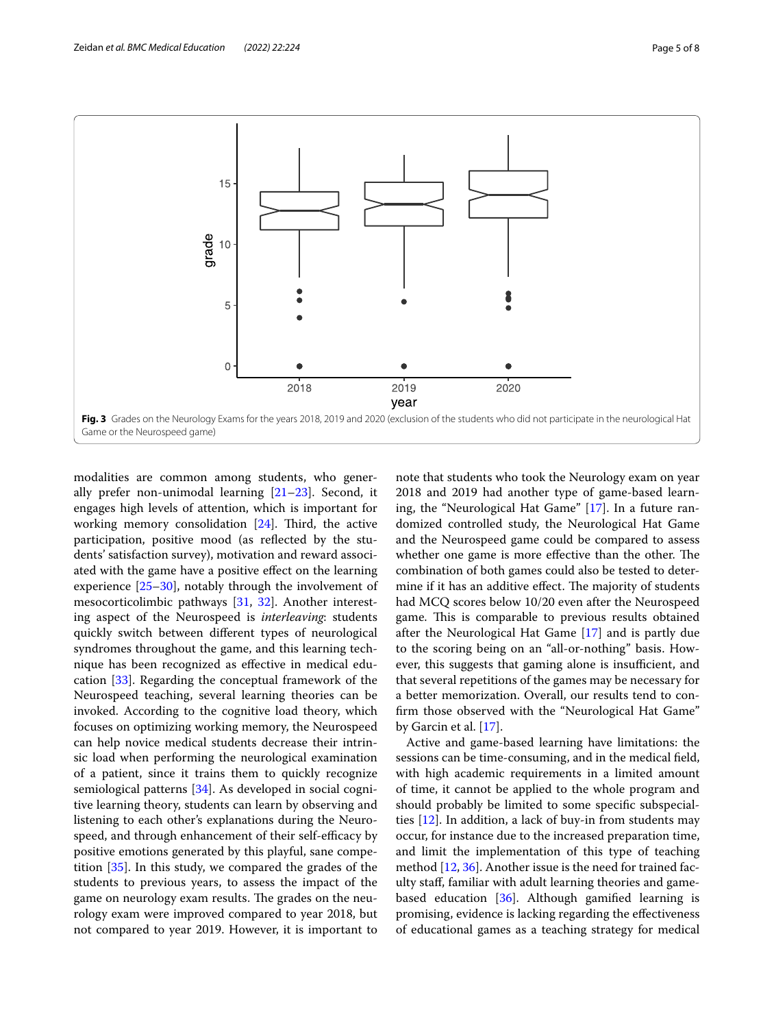

<span id="page-4-0"></span>modalities are common among students, who generally prefer non-unimodal learning [\[21](#page-7-14)[–23\]](#page-7-15). Second, it engages high levels of attention, which is important for working memory consolidation  $[24]$  $[24]$ . Third, the active participation, positive mood (as refected by the students' satisfaction survey), motivation and reward associated with the game have a positive efect on the learning experience [\[25](#page-7-17)[–30](#page-7-18)], notably through the involvement of mesocorticolimbic pathways [\[31](#page-7-19), [32](#page-7-20)]. Another interesting aspect of the Neurospeed is *interleaving*: students quickly switch between diferent types of neurological syndromes throughout the game, and this learning technique has been recognized as efective in medical education [[33\]](#page-7-21). Regarding the conceptual framework of the Neurospeed teaching, several learning theories can be invoked. According to the cognitive load theory, which focuses on optimizing working memory, the Neurospeed can help novice medical students decrease their intrinsic load when performing the neurological examination of a patient, since it trains them to quickly recognize semiological patterns [\[34](#page-7-22)]. As developed in social cognitive learning theory, students can learn by observing and listening to each other's explanations during the Neurospeed, and through enhancement of their self-efficacy by positive emotions generated by this playful, sane competition [\[35](#page-7-23)]. In this study, we compared the grades of the students to previous years, to assess the impact of the game on neurology exam results. The grades on the neurology exam were improved compared to year 2018, but not compared to year 2019. However, it is important to note that students who took the Neurology exam on year 2018 and 2019 had another type of game-based learning, the "Neurological Hat Game" [[17\]](#page-7-10). In a future randomized controlled study, the Neurological Hat Game and the Neurospeed game could be compared to assess whether one game is more effective than the other. The combination of both games could also be tested to determine if it has an additive effect. The majority of students had MCQ scores below 10/20 even after the Neurospeed game. This is comparable to previous results obtained after the Neurological Hat Game [\[17](#page-7-10)] and is partly due to the scoring being on an "all-or-nothing" basis. However, this suggests that gaming alone is insufficient, and that several repetitions of the games may be necessary for a better memorization. Overall, our results tend to confrm those observed with the "Neurological Hat Game" by Garcin et al. [[17\]](#page-7-10).

Active and game-based learning have limitations: the sessions can be time-consuming, and in the medical feld, with high academic requirements in a limited amount of time, it cannot be applied to the whole program and should probably be limited to some specifc subspecialties [[12\]](#page-7-5). In addition, a lack of buy-in from students may occur, for instance due to the increased preparation time, and limit the implementation of this type of teaching method [[12,](#page-7-5) [36\]](#page-7-24). Another issue is the need for trained faculty staf, familiar with adult learning theories and game-based education [\[36](#page-7-24)]. Although gamified learning is promising, evidence is lacking regarding the efectiveness of educational games as a teaching strategy for medical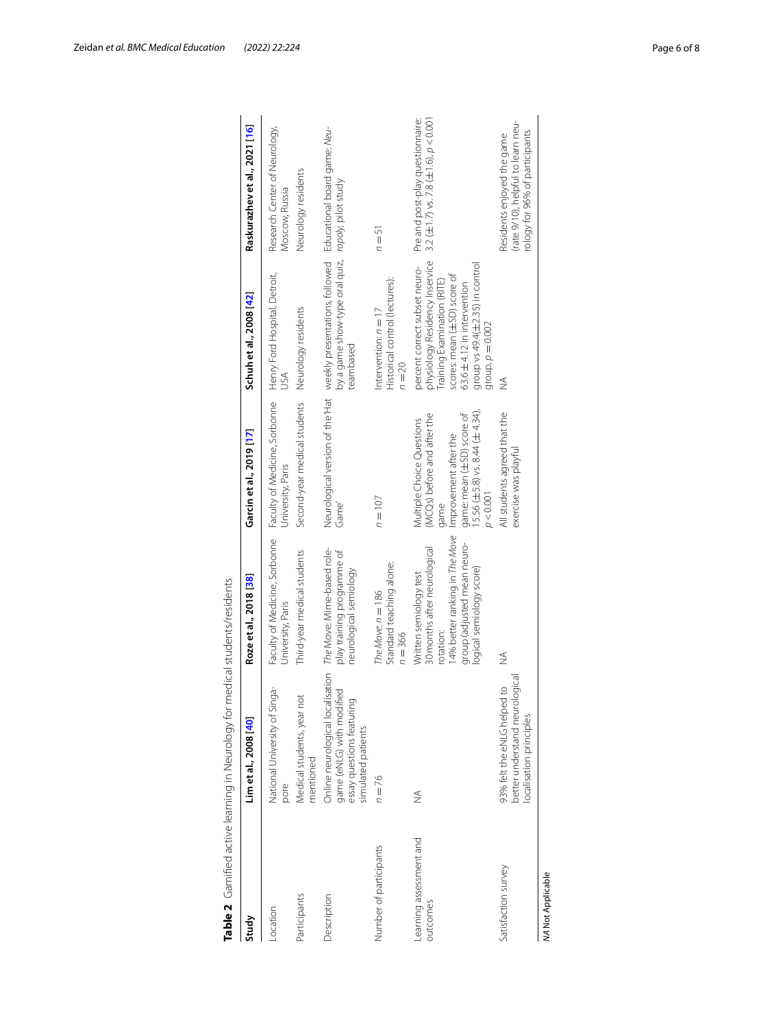|                                    | Table 2 Gamified active learning in Neurology for medical students/residents                                                                                           |                                                                                                                                                                  |                                                                                                                                                                       |                                                                                                                                                                                                                           |                                                                                                    |
|------------------------------------|------------------------------------------------------------------------------------------------------------------------------------------------------------------------|------------------------------------------------------------------------------------------------------------------------------------------------------------------|-----------------------------------------------------------------------------------------------------------------------------------------------------------------------|---------------------------------------------------------------------------------------------------------------------------------------------------------------------------------------------------------------------------|----------------------------------------------------------------------------------------------------|
| Study                              | Limet al., 2008 [40]                                                                                                                                                   | Roze et al., 2018 [38]                                                                                                                                           | Garcin et al., 2019 [17]                                                                                                                                              | Schuh et al., 2008 [42]                                                                                                                                                                                                   | Raskurazhev et al., 2021 [16]                                                                      |
| -ocation                           | National University of Singa-<br>pore                                                                                                                                  | Faculty of Medicine, Sorbonne<br>Jniversity, Paris                                                                                                               | Faculty of Medicine, Sorbonne Henry Ford Hospital, Detroit,<br>University, Paris                                                                                      | JSA                                                                                                                                                                                                                       | Research Center of Neurology,<br>Moscow, Russia                                                    |
| Participants                       | Medical students, year not<br>mentioned                                                                                                                                | Third-year medical students                                                                                                                                      | Second-year medical students                                                                                                                                          | Neurology residents                                                                                                                                                                                                       | Neurology residents                                                                                |
| Description                        | Online neurological localisation The Move: Mime-based role-<br>game (eNLG) with modified play training programme of<br>essay questions featuring<br>simulated patients | play training programme of<br>neurological semiology                                                                                                             | Game'                                                                                                                                                                 | Neurological version of the 'Hat weekly presentations, followed<br>by a game show-type oral quiz,<br>teambased                                                                                                            | Educational board game: Neu-<br>ropoly, pilot study                                                |
| Number of participants             | $n = 76$                                                                                                                                                               | Standard teaching alone:<br>The Move: $n = 186$<br>$n = 366$                                                                                                     | $n = 107$                                                                                                                                                             | Historical control (lectures):<br>Intervention: $n = 17$<br>$n = 20$                                                                                                                                                      | $n = 51$                                                                                           |
| earning assessment and<br>outcomes | $\frac{1}{2}$                                                                                                                                                          | 14% better ranking in The Move<br>group (adjusted mean neuro-<br>30 months after neurological<br>logical semiology score)<br>Written semiology test<br>rotation: | 15.56 (±5.8) vs. 8.44 (±4.34),<br>(MCQs) before and after the<br>game: mean (±SD) score of<br>Multiple Choice Questions<br>Improvement after the<br>p < 0.001<br>game | physiology Residency Inservice<br>group vs $49.4(\pm 2.35)$ in control<br>percent correct subset neuro-<br>scores: mean (±SD) score of<br>Training Examination (RITE)<br>63.6 ±4.12 in intervention<br>group, $p = 0.002$ | Pre and post-play questionnaire:<br>3.2 $(\pm 1.7)$ vs. 7.8 $(\pm 1.6)$ , $p < 0.001$              |
| Satisfaction survey                | better understand neurological<br>93% felt the eNLG helped to<br>localisation principles                                                                               | ≸                                                                                                                                                                | All students agreed that the<br>exercise was playful                                                                                                                  | $\frac{1}{2}$                                                                                                                                                                                                             | (rate 9/10), helpful to learn neu-<br>rology for 96% of participants<br>Residents enjoyed the game |
| <b>MA Not Applicable</b>           |                                                                                                                                                                        |                                                                                                                                                                  |                                                                                                                                                                       |                                                                                                                                                                                                                           |                                                                                                    |

<span id="page-5-0"></span>

| l<br>$\frac{1}{2}$<br>.<br>.<br>.                                                                                                                                                                                                    |
|--------------------------------------------------------------------------------------------------------------------------------------------------------------------------------------------------------------------------------------|
|                                                                                                                                                                                                                                      |
| <br> <br> <br> <br> <br>                                                                                                                                                                                                             |
| $\frac{1}{2}$                                                                                                                                                                                                                        |
| 5<br>5<br>5                                                                                                                                                                                                                          |
| ļ                                                                                                                                                                                                                                    |
|                                                                                                                                                                                                                                      |
| j                                                                                                                                                                                                                                    |
|                                                                                                                                                                                                                                      |
|                                                                                                                                                                                                                                      |
|                                                                                                                                                                                                                                      |
| י.<br>נ                                                                                                                                                                                                                              |
|                                                                                                                                                                                                                                      |
| うりり                                                                                                                                                                                                                                  |
| verification of the Monday in All Changes of the Monday of the Monday of the Monday of the Monday of the Monday of the Monday of the Monday of the Monday of the Monday of the Monday of the Monday of the Monday of the Monda<br>5) |
| I                                                                                                                                                                                                                                    |
| :                                                                                                                                                                                                                                    |
| I                                                                                                                                                                                                                                    |
| م<br>ما<br>I                                                                                                                                                                                                                         |
| I<br>1<br>i                                                                                                                                                                                                                          |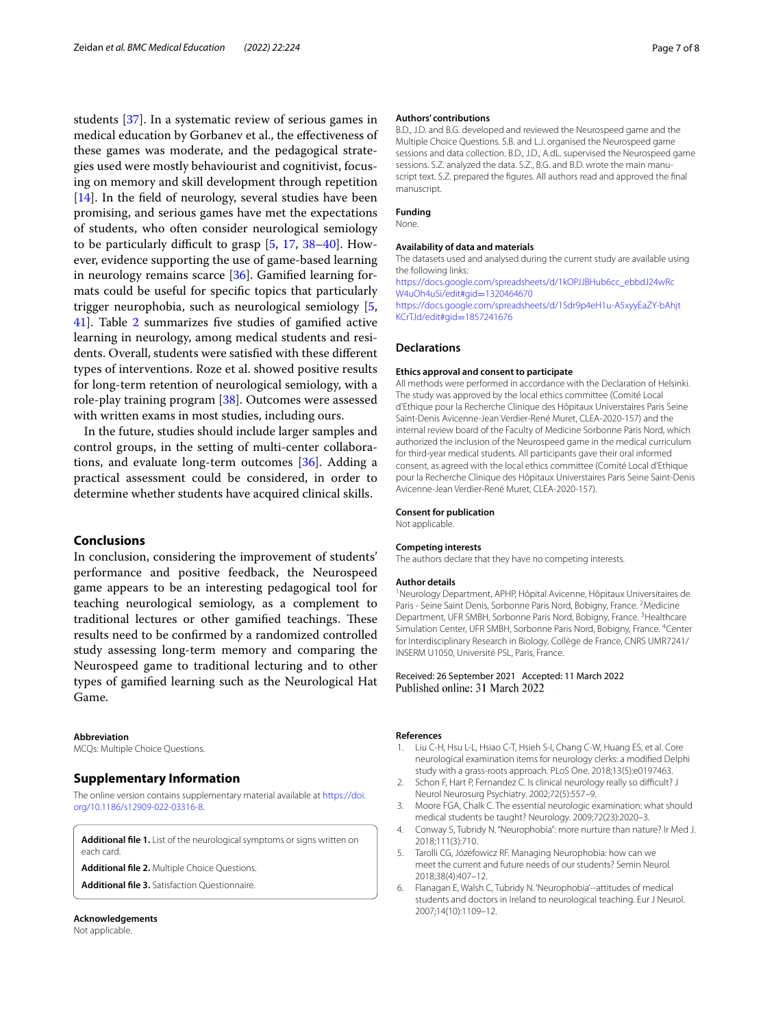students [\[37](#page-7-28)]. In a systematic review of serious games in medical education by Gorbanev et al., the efectiveness of these games was moderate, and the pedagogical strategies used were mostly behaviourist and cognitivist, focusing on memory and skill development through repetition [[14\]](#page-7-7). In the field of neurology, several studies have been promising, and serious games have met the expectations of students, who often consider neurological semiology to be particularly difficult to grasp  $[5, 17, 38-40]$  $[5, 17, 38-40]$  $[5, 17, 38-40]$  $[5, 17, 38-40]$  $[5, 17, 38-40]$ . However, evidence supporting the use of game-based learning in neurology remains scarce [\[36](#page-7-24)]. Gamifed learning formats could be useful for specifc topics that particularly trigger neurophobia, such as neurological semiology [\[5](#page-6-7), [41\]](#page-7-29). Table [2](#page-5-0) summarizes five studies of gamified active learning in neurology, among medical students and residents. Overall, students were satisfed with these diferent types of interventions. Roze et al. showed positive results for long-term retention of neurological semiology, with a role-play training program [[38](#page-7-26)]. Outcomes were assessed with written exams in most studies, including ours.

In the future, studies should include larger samples and control groups, in the setting of multi-center collaborations, and evaluate long-term outcomes [[36](#page-7-24)]. Adding a practical assessment could be considered, in order to determine whether students have acquired clinical skills.

# **Conclusions**

In conclusion, considering the improvement of students' performance and positive feedback, the Neurospeed game appears to be an interesting pedagogical tool for teaching neurological semiology, as a complement to traditional lectures or other gamified teachings. These results need to be confrmed by a randomized controlled study assessing long-term memory and comparing the Neurospeed game to traditional lecturing and to other types of gamifed learning such as the Neurological Hat Game.

#### **Abbreviation**

MCQs: Multiple Choice Questions.

# **Supplementary Information**

The online version contains supplementary material available at [https://doi.](https://doi.org/10.1186/s12909-022-03316-8) [org/10.1186/s12909-022-03316-8](https://doi.org/10.1186/s12909-022-03316-8).

<span id="page-6-5"></span><span id="page-6-4"></span>**Additional fle 1.** List of the neurological symptoms or signs written on each card.

<span id="page-6-6"></span>**Additional fle 2.** Multiple Choice Questions.

**Additional fle 3.** Satisfaction Questionnaire.

**Acknowledgements** Not applicable.

#### **Authors' contributions**

B.D., J.D. and B.G. developed and reviewed the Neurospeed game and the Multiple Choice Questions. S.B. and L.J. organised the Neurospeed game sessions and data collection. B.D., J.D., A.dL. supervised the Neurospeed game sessions. S.Z. analyzed the data. S.Z., B.G. and B.D. wrote the main manuscript text. S.Z. prepared the fgures. All authors read and approved the fnal manuscript.

# **Funding**

None.

# **Availability of data and materials**

The datasets used and analysed during the current study are available using the following links:

[https://docs.google.com/spreadsheets/d/1kOPJJBHub6cc\\_ebbdJ24wRc](https://docs.google.com/spreadsheets/d/1kOPJJBHub6cc_ebbdJ24wRcW4uOh4uSi/edit#gid=1320464670) [W4uOh4uSi/edit#gid](https://docs.google.com/spreadsheets/d/1kOPJJBHub6cc_ebbdJ24wRcW4uOh4uSi/edit#gid=1320464670)=1320464670

[https://docs.google.com/spreadsheets/d/1Sdr9p4eH1u-A5xyyEaZY-bAhjt](https://docs.google.com/spreadsheets/d/1Sdr9p4eH1u-A5xyyEaZY-bAhjtKCrTJd/edit#gid=1857241676) [KCrTJd/edit#gid](https://docs.google.com/spreadsheets/d/1Sdr9p4eH1u-A5xyyEaZY-bAhjtKCrTJd/edit#gid=1857241676)=1857241676

#### **Declarations**

#### **Ethics approval and consent to participate**

All methods were performed in accordance with the Declaration of Helsinki. The study was approved by the local ethics committee (Comité Local d'Ethique pour la Recherche Clinique des Hôpitaux Universtaires Paris Seine Saint-Denis Avicenne-Jean Verdier-René Muret, CLEA-2020-157) and the internal review board of the Faculty of Medicine Sorbonne Paris Nord, which authorized the inclusion of the Neurospeed game in the medical curriculum for third-year medical students. All participants gave their oral informed consent, as agreed with the local ethics committee (Comité Local d'Ethique pour la Recherche Clinique des Hôpitaux Universtaires Paris Seine Saint-Denis Avicenne-Jean Verdier-René Muret, CLEA-2020-157).

#### **Consent for publication**

Not applicable.

#### **Competing interests**

The authors declare that they have no competing interests.

#### **Author details**

<sup>1</sup> Neurology Department, APHP, Hôpital Avicenne, Hôpitaux Universitaires de Paris - Seine Saint Denis, Sorbonne Paris Nord, Bobigny, France. <sup>2</sup> Medicine Department, UFR SMBH, Sorbonne Paris Nord, Bobigny, France. <sup>3</sup> Healthcare Simulation Center, UFR SMBH, Sorbonne Paris Nord, Bobigny, France. 4 Center for Interdisciplinary Research in Biology, Collège de France, CNRS UMR7241/ INSERM U1050, Université PSL, Paris, France.

# Received: 26 September 2021 Accepted: 11 March 2022 Published online: 31 March 2022

#### **References**

- <span id="page-6-0"></span>1. Liu C-H, Hsu L-L, Hsiao C-T, Hsieh S-I, Chang C-W, Huang ES, et al. Core neurological examination items for neurology clerks: a modifed Delphi study with a grass-roots approach. PLoS One. 2018;13(5):e0197463.
- <span id="page-6-1"></span>2. Schon F, Hart P, Fernandez C. Is clinical neurology really so difficult? J Neurol Neurosurg Psychiatry. 2002;72(5):557–9.
- <span id="page-6-2"></span>3. Moore FGA, Chalk C. The essential neurologic examination: what should medical students be taught? Neurology. 2009;72(23):2020–3.
- <span id="page-6-3"></span>4. Conway S, Tubridy N. "Neurophobia": more nurture than nature? Ir Med J. 2018;111(3):710.
- <span id="page-6-7"></span>5. Tarolli CG, Józefowicz RF. Managing Neurophobia: how can we meet the current and future needs of our students? Semin Neurol. 2018;38(4):407–12.
- 6. Flanagan E, Walsh C, Tubridy N. 'Neurophobia'--attitudes of medical students and doctors in Ireland to neurological teaching. Eur J Neurol. 2007;14(10):1109–12.